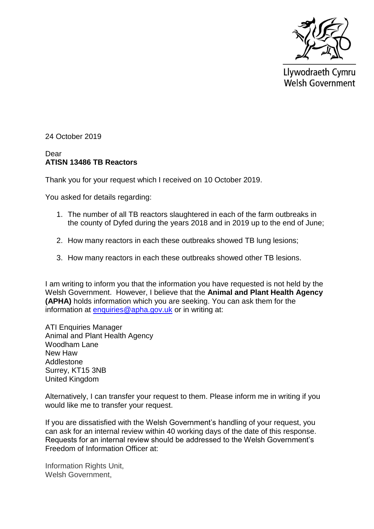

Llywodraeth Cymru **Welsh Government** 

24 October 2019

## Dear **ATISN 13486 TB Reactors**

Thank you for your request which I received on 10 October 2019.

You asked for details regarding:

- 1. The number of all TB reactors slaughtered in each of the farm outbreaks in the county of Dyfed during the years 2018 and in 2019 up to the end of June;
- 2. How many reactors in each these outbreaks showed TB lung lesions;
- 3. How many reactors in each these outbreaks showed other TB lesions.

I am writing to inform you that the information you have requested is not held by the Welsh Government. However, I believe that the **Animal and Plant Health Agency (APHA)** holds information which you are seeking. You can ask them for the information at [enquiries@apha.gov.uk](mailto:enquiries@apha.gov.uk) or in writing at:

ATI Enquiries Manager Animal and Plant Health Agency Woodham Lane New Haw Addlestone Surrey, KT15 3NB United Kingdom

Alternatively, I can transfer your request to them. Please inform me in writing if you would like me to transfer your request.

If you are dissatisfied with the Welsh Government's handling of your request, you can ask for an internal review within 40 working days of the date of this response. Requests for an internal review should be addressed to the Welsh Government's Freedom of Information Officer at:

Information Rights Unit, Welsh Government,